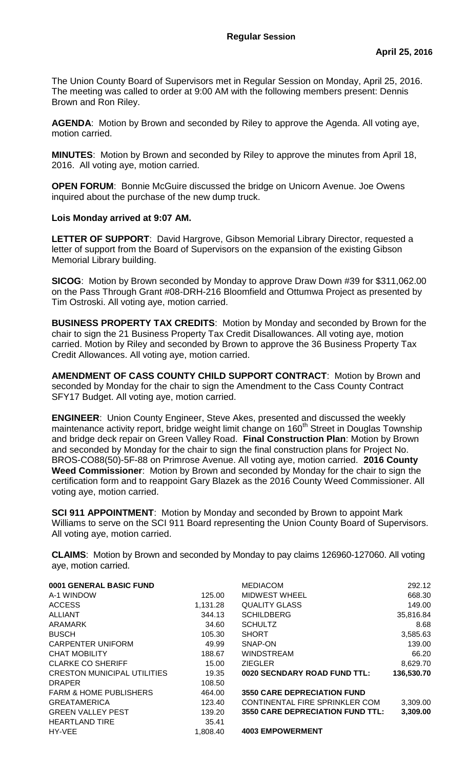The Union County Board of Supervisors met in Regular Session on Monday, April 25, 2016. The meeting was called to order at 9:00 AM with the following members present: Dennis Brown and Ron Riley.

**AGENDA**: Motion by Brown and seconded by Riley to approve the Agenda. All voting aye, motion carried.

**MINUTES**: Motion by Brown and seconded by Riley to approve the minutes from April 18, 2016. All voting aye, motion carried.

**OPEN FORUM:** Bonnie McGuire discussed the bridge on Unicorn Avenue. Joe Owens inquired about the purchase of the new dump truck.

## **Lois Monday arrived at 9:07 AM.**

**LETTER OF SUPPORT**: David Hargrove, Gibson Memorial Library Director, requested a letter of support from the Board of Supervisors on the expansion of the existing Gibson Memorial Library building.

**SICOG**: Motion by Brown seconded by Monday to approve Draw Down #39 for \$311,062.00 on the Pass Through Grant #08-DRH-216 Bloomfield and Ottumwa Project as presented by Tim Ostroski. All voting aye, motion carried.

**BUSINESS PROPERTY TAX CREDITS**: Motion by Monday and seconded by Brown for the chair to sign the 21 Business Property Tax Credit Disallowances. All voting aye, motion carried. Motion by Riley and seconded by Brown to approve the 36 Business Property Tax Credit Allowances. All voting aye, motion carried.

**AMENDMENT OF CASS COUNTY CHILD SUPPORT CONTRACT**: Motion by Brown and seconded by Monday for the chair to sign the Amendment to the Cass County Contract SFY17 Budget. All voting aye, motion carried.

**ENGINEER**: Union County Engineer, Steve Akes, presented and discussed the weekly maintenance activity report, bridge weight limit change on 160<sup>th</sup> Street in Douglas Township and bridge deck repair on Green Valley Road. **Final Construction Plan**: Motion by Brown and seconded by Monday for the chair to sign the final construction plans for Project No. BROS-CO88(50)-5F-88 on Primrose Avenue. All voting aye, motion carried. **2016 County Weed Commissioner**: Motion by Brown and seconded by Monday for the chair to sign the certification form and to reappoint Gary Blazek as the 2016 County Weed Commissioner. All voting aye, motion carried.

**SCI 911 APPOINTMENT**: Motion by Monday and seconded by Brown to appoint Mark Williams to serve on the SCI 911 Board representing the Union County Board of Supervisors. All voting aye, motion carried.

**CLAIMS**: Motion by Brown and seconded by Monday to pay claims 126960-127060. All voting aye, motion carried.

| 0001 GENERAL BASIC FUND            |          | <b>MEDIACOM</b>                         | 292.12     |
|------------------------------------|----------|-----------------------------------------|------------|
| A-1 WINDOW                         | 125.00   | MIDWEST WHEEL                           | 668.30     |
| <b>ACCESS</b>                      | 1,131.28 | <b>QUALITY GLASS</b>                    | 149.00     |
| <b>ALLIANT</b>                     | 344.13   | <b>SCHILDBERG</b>                       | 35,816.84  |
| ARAMARK                            | 34.60    | <b>SCHULTZ</b>                          | 8.68       |
| <b>BUSCH</b>                       | 105.30   | <b>SHORT</b>                            | 3,585.63   |
| <b>CARPENTER UNIFORM</b>           | 49.99    | SNAP-ON                                 | 139.00     |
| <b>CHAT MOBILITY</b>               | 188.67   | <b>WINDSTREAM</b>                       | 66.20      |
| <b>CLARKE CO SHERIFF</b>           | 15.00    | <b>ZIEGLER</b>                          | 8,629.70   |
| <b>CRESTON MUNICIPAL UTILITIES</b> | 19.35    | 0020 SECNDARY ROAD FUND TTL:            | 136,530.70 |
| <b>DRAPER</b>                      | 108.50   |                                         |            |
| <b>FARM &amp; HOME PUBLISHERS</b>  | 464.00   | <b>3550 CARE DEPRECIATION FUND</b>      |            |
| <b>GREATAMERICA</b>                | 123.40   | CONTINENTAL FIRE SPRINKLER COM          | 3,309.00   |
| <b>GREEN VALLEY PEST</b>           | 139.20   | <b>3550 CARE DEPRECIATION FUND TTL:</b> | 3,309.00   |
| <b>HEARTLAND TIRE</b>              | 35.41    |                                         |            |
| HY-VEE                             | 1,808.40 | <b>4003 EMPOWERMENT</b>                 |            |